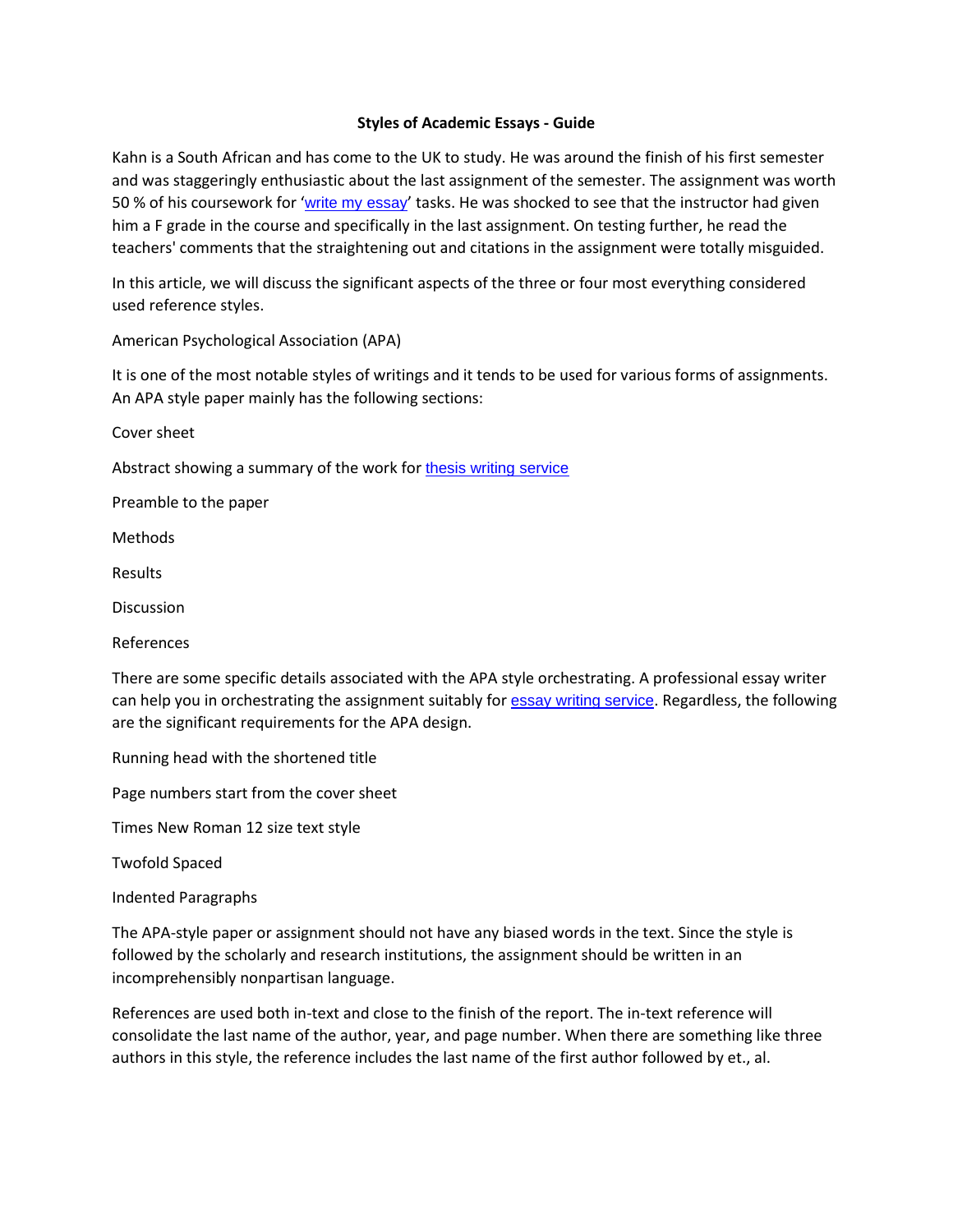## **Styles of Academic Essays - Guide**

Kahn is a South African and has come to the UK to study. He was around the finish of his first semester and was staggeringly enthusiastic about the last assignment of the semester. The assignment was worth 50 % of his coursework for '[write my essay](https://www.myperfectpaper.net/)' tasks. He was shocked to see that the instructor had given him a F grade in the course and specifically in the last assignment. On testing further, he read the teachers' comments that the straightening out and citations in the assignment were totally misguided.

In this article, we will discuss the significant aspects of the three or four most everything considered used reference styles.

American Psychological Association (APA)

It is one of the most notable styles of writings and it tends to be used for various forms of assignments. An APA style paper mainly has the following sections:

Cover sheet

Abstract showing a summary of the work for [thesis writing service](https://www.gradschoolgenius.com/thesis-writing-service)

Preamble to the paper

Methods

Results

**Discussion** 

References

There are some specific details associated with the APA style orchestrating. A professional essay writer can help you in orchestrating the assignment suitably for [essay writing service](https://www.essaywritingservice.college/). Regardless, the following are the significant requirements for the APA design.

Running head with the shortened title

Page numbers start from the cover sheet

Times New Roman 12 size text style

Twofold Spaced

Indented Paragraphs

The APA-style paper or assignment should not have any biased words in the text. Since the style is followed by the scholarly and research institutions, the assignment should be written in an incomprehensibly nonpartisan language.

References are used both in-text and close to the finish of the report. The in-text reference will consolidate the last name of the author, year, and page number. When there are something like three authors in this style, the reference includes the last name of the first author followed by et., al.